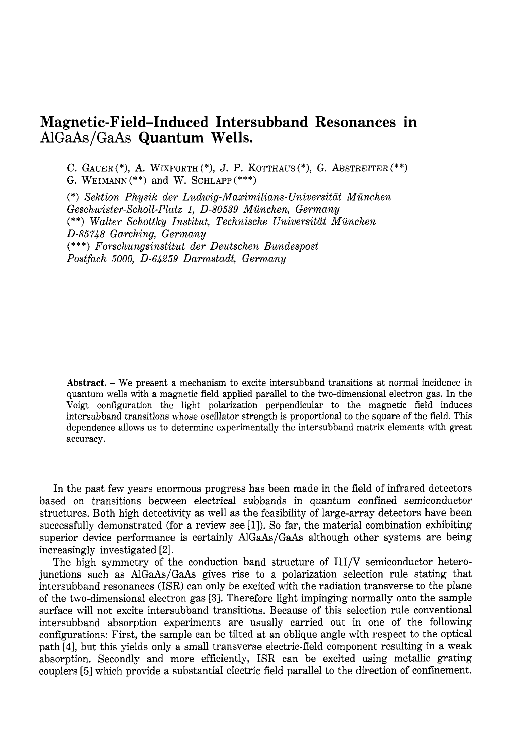## **Magnetic-Field-Induced Intersubband Resonances in** AlGaAs/GaAs **Quantum Wells.**

C. GAUER<sup>(\*)</sup>, A. WIXFORTH<sup>(\*)</sup>, J. P. KOTTHAUS<sup>(\*)</sup>, G. ABSTREITER<sup>(\*\*)</sup>) G. WEIMANN<sup>\*\*</sup>) and W. SCHLAPP<sup>\*\*\*</sup>)

(\*) *Sektion Physik der Ludwig-Maximilians-Universitat Miinchen Geschwister-Scholl-Platx 1, 0-80539 Miinchen, Germany* (\*\*) *Walter Schottky Institut, Technische Universitat Miinchen 0-85748 Garching, Germany* (\*\*\*) *Forschungsinstitut der Deutschen Bundespost Postfach 5000, 0-64259 Darmstadt, Germany*

**Abstract.** - We present <sup>a</sup> mechanism to excite intersubband transitions at normal incidence in quantum wells with a magnetic field applied parallel to the two-dimensional electron gas. In the Voigt configuration the light polarization perpendicular to the magnetic field induces intersubband transitions whose oscillator strength is proportional to the square of the field. This dependence allows us to determine experimentally the intersubband matrix elements with great accuracy.

In the past few years enormous progress has been made in the field of infrared detectors based on transitions between electrical subbands in quantum confined semiconductor structures. Both high detectivity as well as the feasibility of large-array detectors have been successfully demonstrated (for a review see  $[1]$ ). So far, the material combination exhibiting superior device performance is certainly AlGaAs/GaAs although other systems are being increasingly investigated [2].

The high symmetry of the conduction band structure of III/V semiconductor heterojunctions such as AlGaAs/GaAs gives rise to a polarization selection rule stating that intersubband resonances (ISR) can only be excited with the radiation transverse to the plane of the two-dimensional electron gas [3]. Therefore light impinging normally onto the sample surface will not excite intersubband transitions. Because of this selection rule conventional intersubband absorption experiments are usually carried out in one of the following configurations: First, the sample can be tilted at an oblique angle with respect to the optical path [4], but this yields only a small transverse electric-field component resulting in a weak absorption. Secondly and more efficiently, ISR can be excited using metallic grating couplers [5] which provide a substantial electric field parallel to the direction of confinement.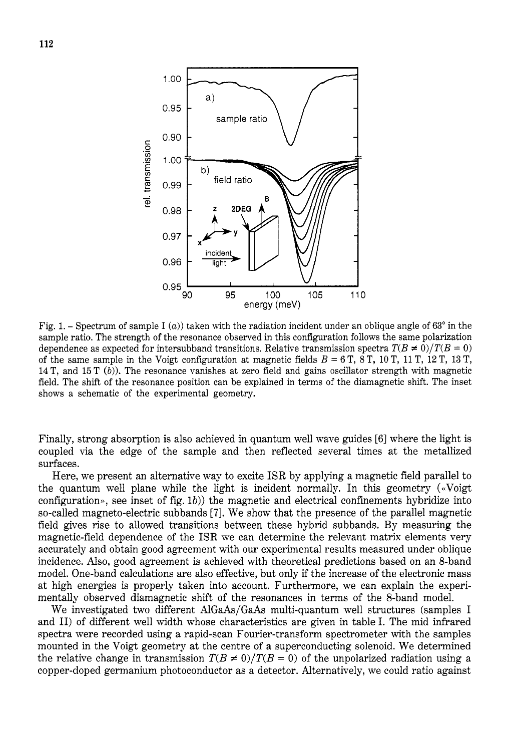

Fig. 1. - Spectrum of sample I  $(a)$ ) taken with the radiation incident under an oblique angle of  $63^{\circ}$  in the sample ratio. The strength of the resonance observed in this configuration follows the same polarization dependence as expected for intersubband transitions. Relative transmission spectra  $T(B \neq 0)/T(B = 0)$ of the same sample in the Voigt configuration at magnetic fields  $B = 6$  T, 8 T, 10 T, 11 T, 12 T, 13 T, 14T, and 15T *(b)).*The resonance vanishes at zero field and gains oscillator strength with magnetic field. The shift of the resonance position can be explained in terms of the diamagnetic shift. The inset shows a schematic of the experimental geometry.

Finally, strong absorption is also achieved in quantum well wave guides [6] where the light is coupled via the edge of the sample and then reflected several times at the metallized surfaces.

Here, we present an alternative way to excite ISR by applying a magnetic field parallel to the quantum well plane while the light is incident normally. In this geometry (<<Voigt configuration», see inset of fig.  $1b$ ) the magnetic and electrical confinements hybridize into so-called magneto-electric subbands**[7].** We show that the presence of the parallel magnetic field gives rise to allowed transitions between these hybrid subbands. By measuring the magnetic-field dependence of the ISR we can determine the relevant matrix elements very accurately and obtain good agreement with our experimental results measured under oblique incidence. Also, good agreement is achieved with theoretical predictions based on an 8-band model. One-band calculations are also effective, but only if the increase of the electronic mass at high energies is properly taken into account. Furthermore, we can explain the experimentally observed diamagnetic shift of the resonances in terms of the 8-band model.

We investigated two different AlGaAs/GaAs multi-quantum well structures (samples I and 11) of different well width whose characteristics are given in table I. The mid infrared spectra were recorded using a rapid-scan Fourier-transform spectrometer with the samples mounted in the Voigt geometry at the centre of a superconducting solenoid. We determined the relative change in transmission  $T(B \neq 0)/T(B = 0)$  of the unpolarized radiation using a copper-doped germanium photoconductor as a detector. Alternatively, we could ratio against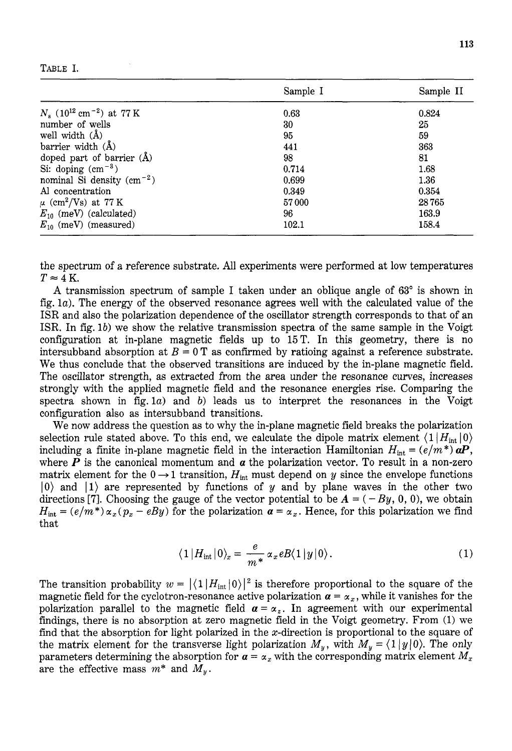| ٠ |  |
|---|--|
|---|--|

|                                                    | Sample I | Sample II |
|----------------------------------------------------|----------|-----------|
| $N_s$ (10 <sup>12</sup> cm <sup>-2</sup> ) at 77 K | 0.63     | 0.824     |
| number of wells                                    | 30       | 25        |
| well width $(A)$                                   | 95       | 59        |
| barrier width $(A)$                                | 441      | 363       |
| doped part of barrier $(A)$                        | 98       | 81        |
| Si: doping $\rm (cm^{-3})$                         | 0.714    | 1.68      |
| nominal Si density $(cm-2)$                        | 0.699    | 1.36      |
| Al concentration                                   | 0.349    | 0.354     |
| $\mu$ (cm <sup>2</sup> /Vs) at 77 K                | 57000    | 28765     |
| $E_{10}$ (meV) (calculated)                        | 96       | 163.9     |
| $E_{10}$ (meV) (measured)                          | 102.1    | 158.4     |

the spectrum of a reference substrate. All experiments were performed at low temperatures  $T \approx 4$  **K**.

**A** transmission spectrum of sample I taken under an oblique angle of **63'** is shown in fig. *la).* The energy of the observed resonance agrees well with the calculated value of the ISR and also the polarization dependence of the oscillator strength corresponds to that of an ISR. In fig. 1b) we show the relative transmission spectra of the same sample in the Voigt configuration at in-plane magnetic fields up to *1 5 T .* In this geometry, there is no intersubband absorption at  $B = 0$  T as confirmed by ratioing against a reference substrate. We thus conclude that the observed transitions are induced by the in-plane magnetic field. The oscillator strength, as extracted from the area under the resonance curves, increases strongly with the applied magnetic field and the resonance energies rise. Comparing the spectra shown in fig.  $1a$ ) and *b*) leads us to interpret the resonances in the Voigt configuration also as intersubband transitions.

We now address the question as to why the in-plane magnetic field breaks the polarization selection rule stated above. To this end, we calculate the dipole matrix element  $\langle 1 | H_{\text{int}} | 0 \rangle$ including a finite in-plane magnetic field in the interaction Hamiltonian  $H_{\text{int}} = (e/m^*) aP$ , where  $P$  is the canonical momentum and  $\alpha$  the polarization vector. To result in a non-zero matrix element for the  $0 \rightarrow 1$  transition,  $H_{int}$  must depend on y since the envelope functions  $|0\rangle$  and  $|1\rangle$  are represented by functions of y and by plane waves in the other two directions [7]. Choosing the gauge of the vector potential to be  $A = (-By, 0, 0)$ , we obtain  $H_{\text{int}} = (e/m^*) \alpha_x (p_x - eBy)$  for the polarization  $\alpha = \alpha_x$ . Hence, for this polarization we find that

$$
\langle 1 | H_{\rm int} | 0 \rangle_x = \frac{e}{m^*} \alpha_x e B \langle 1 | y | 0 \rangle. \tag{1}
$$

The transition probability  $w = |\langle 1 | H_{int} | 0 \rangle|^2$  is therefore proportional to the square of the magnetic field for the cyclotron-resonance active polarization  $\alpha = \alpha_x$ , while it vanishes for the polarization parallel to the magnetic field  $\alpha = \alpha_z$ . In agreement with our experimental findings, there is no absorption at zero magnetic field in the Voigt geometry. From (1) we find that the absorption for light polarized in the  $x$ -direction is proportional to the square of the matrix element for the transverse light polarization  $M_y$ , with  $M_y = \langle 1 | y | 0 \rangle$ . The only parameters determining the absorption for  $a = \alpha_x$  with the corresponding matrix element  $M_x$ are the effective mass  $m^*$  and  $M_y$ .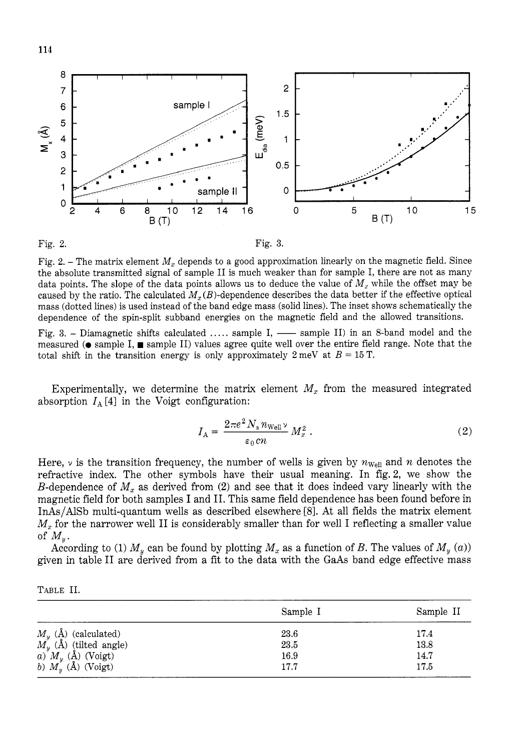

Fig. 2. – The matrix element  $M_x$  depends to a good approximation linearly on the magnetic field. Since the absolute transmitted signal of sample I1 is much weaker than for sample I, there are not as many data points. The slope of the data points allows us to deduce the value of  $M_x$  while the offset may be caused by the ratio. The calculated  $M_x(B)$ -dependence describes the data better if the effective optical mass (dotted lines) is used instead of the band edge mass (solid lines). The inset shows schematically the dependence of the spin-split subband energies on the magnetic field and the allowed transitions.

Fig. 3. - Diamagnetic shifts calculated ..... sample I, - sample II) in an 8-band model and the measured  $\circ$  sample I, sample II) values agree quite well over the entire field range. Note that the total shift in the transition energy is only approximately  $2 \text{ meV}$  at  $B = 15 \text{ T}$ .

Experimentally, we determine the matrix element  $M_x$  from the measured integrated absorption  $I_A[4]$  in the Voigt configuration:

$$
I_{\rm A} = \frac{2\pi e^2 N_{\rm s} n_{\rm Well} v}{\epsilon_0 c n} M_x^2 \,. \tag{2}
$$

Here,  $\nu$  is the transition frequency, the number of wells is given by  $n_{\text{well}}$  and  $n$  denotes the refractive index. The other symbols have their usual meaning. In fig.2, we show the B-dependence of  $M_x$  as derived from (2) and see that it does indeed vary linearly with the magnetic field for both samples I and 11.This same field dependence has been found before in InAs/AlSb multi-quantum wells as described elsewhere [8].At all fields the matrix element  $M<sub>x</sub>$  for the narrower well II is considerably smaller than for well I reflecting a smaller value of  $M_{y}$ .

According to (1)  $M_y$  can be found by plotting  $M_x$  as a function of *B*. The values of  $M_y(a)$ given in table I1 are derived from a fit to the data with the GaAs band edge effective mass

|--|--|

|                                                                                                                                                 | Sample I | Sample II |
|-------------------------------------------------------------------------------------------------------------------------------------------------|----------|-----------|
|                                                                                                                                                 | 23.6     | 17.4      |
| $M_y$ (Å) (calculated)<br>$M_y$ (Å) (tilted angle)                                                                                              | 23.5     | 13.8      |
|                                                                                                                                                 | 16.9     | 14.7      |
| $\begin{pmatrix} a \ b \end{pmatrix}^{\nu} M_y \stackrel{\text{(A)}}{(\text{A})}$ (Voigt)<br>b) $M_y \stackrel{\text{(A)}}{(\text{A})}$ (Voigt) | 17.7     | 17.5      |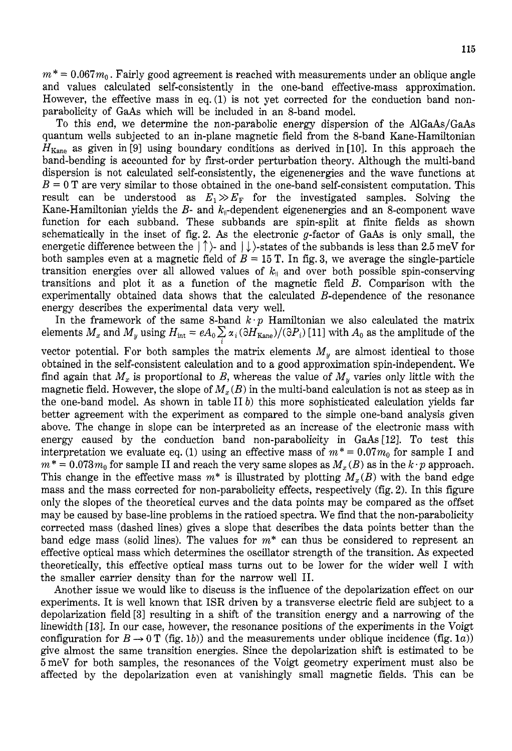$m^*=0.067m_0$  . Fairly good agreement is reached with measurements under an oblique angle and values calculated self-consistently in the one-band effective-mass approximation. However, the effective mass in eq.  $(1)$  is not yet corrected for the conduction band nonparabolicity of GaAs which will be included in an 8-band model.

To this end, we determine the non-parabolic energy dispersion of the AIGaAs/GaAs quantum wells subjected to an in-plane magnetic field from the %band Kane-Hamiltonian  $H_{\text{Kane}}$  as given in [9] using boundary conditions as derived in [10]. In this approach the band-bending is accounted for by first-order perturbation theory. Although the multi-band dispersion is not calculated self-consistently, the eigenenergies and the wave functions at  $B = 0$  T are very similar to those obtained in the one-band self-consistent computation. This result can be understood as  $E_1 \gg E_F$  for the investigated samples. Solving the Kane-Hamiltonian yields the  $B$ - and  $k_{\parallel}$ -dependent eigenenergies and an 8-component wave function for each subband. These subbands are spin-split at finite fields as shown schematically in the inset of fig. 2. As the electronic  $g$ -factor of GaAs is only small, the energetic difference between the  $|\uparrow\rangle$ -and  $|\downarrow\rangle$ -states of the subbands is less than 2.5 meV for both samples even at a magnetic field of  $B = 15$  T. In fig. 3, we average the single-particle transition energies over all allowed values of  $k_{\parallel}$  and over both possible spin-conserving transitions and plot it as a function of the magnetic field *B.* Comparison with the experimentally obtained data shows that the calculated B-dependence of the resonance energy describes the experimental data very well.

In the framework of the same 8-band  $k \cdot p$  Hamiltonian we also calculated the matrix elements  $M_x$  and  $M_y$  using  $H_{int} = eA_0 \sum_i \alpha_i (\partial H_{Kane})/(\partial P_i)$  [11] with  $A_0$  as the amplitude of the

vector potential. For both samples the matrix elements  $M_y$  are almost identical to those obtained in the self-consistent calculation and to a good approximation spin-independent. We find again that  $M_x$  is proportional to B, whereas the value of  $M_y$  varies only little with the magnetic field. However, the slope of  $M_x(B)$  in the multi-band calculation is not as steep as in the one-band model. **As** shown in table I1 *b)* this more sophisticated calculation yields far better agreement with the experiment as compared to the simple one-band analysis given above. The change in slope can be interpreted as an increase of the electronic mass with energy caused by the conduction band non-parabolicity in *GaAs* [12]. To test this interpretation we evaluate eq. (1) using an effective mass of  $m^* = 0.07m_0$  for sample I and  $m^* = 0.073 m_0$  for sample II and reach the very same slopes as  $M_x(B)$  as in the  $k \cdot p$  approach. This change in the effective mass  $m^*$  is illustrated by plotting  $M_x(B)$  with the band edge mass and the mass corrected for non-parabolicity effects, respectively (fig.**2).** In this figure only the slopes of the theoretical curves and the data points may be compared as the offset may be caused by base-line problems in the ratioed spectra. We find that the non-parabolicity corrected mass (dashed lines) gives a slope that describes the data points better than the band edge mass (solid lines). The values for *m\** can thus be considered to represent an effective optical mass which determines the oscillator strength of the transition. As expected theoretically, this effective optical mass turns out to be lower for the wider well I with the smaller carrier density than for the narrow well 11.

Another issue we would like to discuss is the influence of the depolarization effect on our experiments. It is well known that ISR driven by a transverse electric field are subject to a depolarization field *[3]*resulting in a shift of the transition energy and a narrowing of the linewidth [13]. In our case, however, the resonance positions of the experiments in the Voigt configuration for  $B \to 0$  T (fig. 1*b*)) and the measurements under oblique incidence (fig. 1*a*)) give almost the same transition energies. Since the depolarization shift is estimated to be 5meV for both samples, the resonances of the Voigt geometry experiment must also be affected by the depolarization even at vanishingly small magnetic fields. This can be